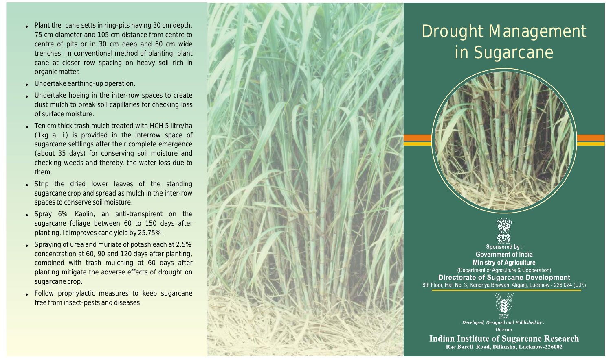- $\bullet$  Plant the cane setts in ring-pits having 30 cm depth, 75 cm diameter and 105 cm distance from centre to centre of pits or in 30 cm deep and 60 cm wide trenches. In con ventional method of planting, plant cane at closer row spacing on heavy soil rich in organic matter.
- Undertake earthing-up operation.
- . Undertake hoeing in the inter-row spaces to create dust mulch to break soil capillaries for checking loss of surface moisture.
- ! Ten cm thick trash mulch treated with HCH 5 litre/ha (1kg a. i.) is provided in the interrow space of sugarcane settlings after their complete emergence (about 35 days) for conserving soil moisture and checking weeds and thereby, the water loss due to them.
- Strip the dried lower leaves of the standing sugarcane crop and spread as mulch in the inter-row spaces to conserve soil moisture.
- Spray 6% Kaolin, an anti-transpirent on the sugarcane foliage between 60 to 150 days after planting. It impro ves cane yield by 25.75%.
- Spraying of urea and muriate of potash each at 2.5% concentration at 60, 90 and 120 days after planting, combined with trash mulching at 60 days after planting mitigate the adverse effects of drought on sugarcane crop.
- ! Follow prophylactic measures to keep sugarcane free from insect-pests and diseases.



## Drought Management in Sugarcane



Sponsored by: **Government of India Ministry of Agriculture** (Department of Agriculture & Cooperation) **Directorate of Sugarcane Development** 8th Floor, Hall No. 3, Kendriya Bhawan, Aliganj, Lucknow - 226 024 (U.P.)



*Developed, Designed and Published by : Director*

**Indian Institute of Sugarcane Research** Rae Bareli Road, Dilkusha, Lucknow-226002